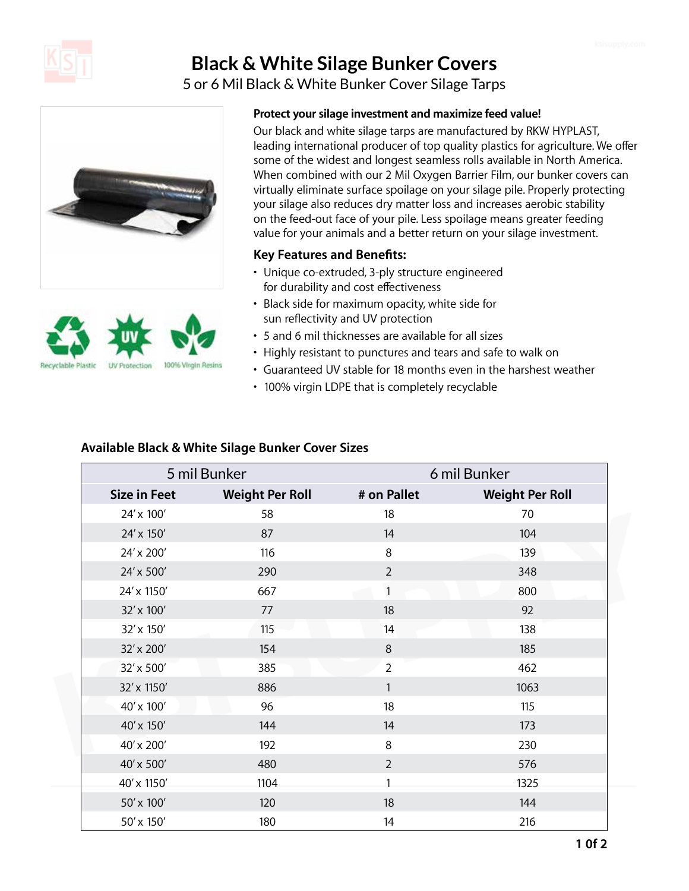

# **Black & White Silage Bunker Covers**

5 or 6 Mil Black & White Bunker Cover Silage Tarps





### **Protect your silage investment and maximize feed value!**

Our black and white silage tarps are manufactured by RKW HYPLAST, leading international producer of top quality plastics for agriculture. We offer some of the widest and longest seamless rolls available in North America. When combined with our 2 Mil Oxygen Barrier Film, our bunker covers can virtually eliminate surface spoilage on your silage pile. Properly protecting your silage also reduces dry matter loss and increases aerobic stability on the feed-out face of your pile. Less spoilage means greater feeding value for your animals and a better return on your silage investment.

#### **Key Features and Benefits:**

- Unique co-extruded, 3-ply structure engineered for durability and cost effectiveness
- Black side for maximum opacity, white side for sun reflectivity and UV protection
- 5 and 6 mil thicknesses are available for all sizes
- Highly resistant to punctures and tears and safe to walk on
- Guaranteed UV stable for 18 months even in the harshest weather
- 100% virgin LDPE that is completely recyclable

#### **Available Black & White Silage Bunker Cover Sizes**

| 5 mil Bunker        |                        | 6 mil Bunker   |                        |
|---------------------|------------------------|----------------|------------------------|
| <b>Size in Feet</b> | <b>Weight Per Roll</b> | # on Pallet    | <b>Weight Per Roll</b> |
| 24' x 100'          | 58                     | 18             | 70                     |
| 24' x 150'          | 87                     | 14             | 104                    |
| 24' x 200'          | 116                    | 8              | 139                    |
| 24' x 500'          | 290                    | $\overline{2}$ | 348                    |
| 24' x 1150'         | 667                    | 1              | 800                    |
| 32' x 100'          | 77                     | 18             | 92                     |
| 32' x 150'          | 115                    | 14             | 138                    |
| 32' x 200'          | 154                    | 8              | 185                    |
| 32' x 500'          | 385                    | $\overline{2}$ | 462                    |
| 32' x 1150'         | 886                    | 1              | 1063                   |
| 40' x 100'          | 96                     | 18             | 115                    |
| 40' x 150'          | 144                    | 14             | 173                    |
| 40' x 200'          | 192                    | 8              | 230                    |
| 40' x 500'          | 480                    | $\overline{2}$ | 576                    |
| 40' x 1150'         | 1104                   |                | 1325                   |
| 50' x 100'          | 120                    | 18             | 144                    |
| 50' x 150'          | 180                    | 14             | 216                    |